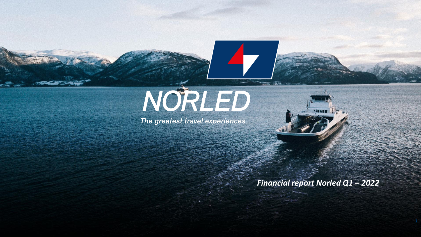# NORLED

 $\blacktriangle$ 

The greatest travel experiences



#### *Financial report Norled Q1 – 2022*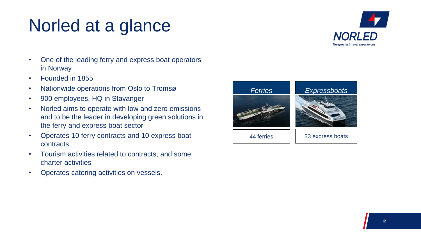# Norled at a glance



- One of the leading ferry and express boat operators in Norway
- Founded in 1855
- Nationwide operations from Oslo to Tromsø
- 900 employees, HQ in Stavanger
- Norled aims to operate with low and zero emissions and to be the leader in developing green solutions in the ferry and express boat sector
- Operates 10 ferry contracts and 10 express boat contracts
- Tourism activities related to contracts, and some charter activities
- Operates catering activities on vessels.

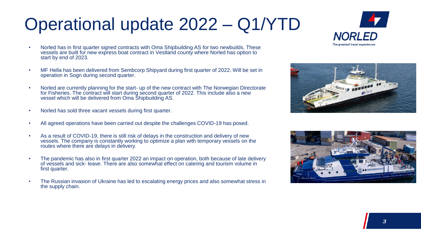# Operational update 2022 – Q1/YTD



- Norled has in first quarter signed contracts with Oma Shipbuilding AS for two newbuilds. These vessels are built for new express boat contract in Vestland county where Norled has option to start by end of 2023.
- MF Hella has been delivered from Sembcorp Shipyard during first quarter of 2022. Will be set in operation in Sogn during second quarter.
- Norled are currently planning for the start- up of the new contract with The Norwegian Directorate for Fisheries. The contract will start during second quarter of 2022. This include also a new vessel which will be delivered from Oma Shipbuilding AS.
- Norled has sold three vacant vessels during first quarter.
- All agreed operations have been carried out despite the challenges COVID-19 has posed.
- As a result of COVID-19, there is still risk of delays in the construction and delivery of new vessels. The company is constantly working to optimize a plan with temporary vessels on the routes where there are delays in delivery.
- The pandemic has also in first quarter 2022 an impact on operation, both because of late delivery of vessels and sick- leave. There are also somewhat effect on catering and tourism volume in first quarter.
- The Russian invasion of Ukraine has led to escalating energy prices and also somewhat stress in the supply chain.



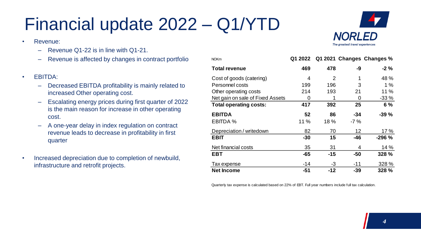# Financial update 2022 – Q1/YTD

- Revenue:
	- Revenue Q1-22 is in line with Q1-21.
	- Revenue is affected by changes in contract portfolio
- EBITDA:
	- Decreased EBITDA profitability is mainly related to increased Other operating cost.
	- Escalating energy prices during first quarter of 2022 is the main reason for increase in other operating cost.
	- A one-year delay in index regulation on contract revenue leads to decrease in profitability in first quarter
- Increased depreciation due to completion of newbuild, infrastructure and retrofit projects.

| <b>NOKm</b>                      | Q1 2022 |                |                 | Q1 2021 Changes Changes % |
|----------------------------------|---------|----------------|-----------------|---------------------------|
| <b>Total revenue</b>             | 469     | 478            | -9              | $-2\%$                    |
| Cost of goods (catering)         | 4       | $\overline{2}$ | 1               | 48 %                      |
| Personnel costs                  | 199     | 196            | 3               | 1%                        |
| Other operating costs            | 214     | 193            | 21              | 11 %                      |
| Net gain on sale of Fixed Assets | 0       | 1              | 0               | $-33%$                    |
| <b>Total operating costs:</b>    | 417     | 392            | 25              | 6%                        |
| <b>EBITDA</b>                    | 52      | 86             | $-34$           | $-39%$                    |
| <b>EBITDA %</b>                  | 11 %    | 18%            | $-7%$           |                           |
| Depreciation / writedown         | 82      | 70             | 12 <sup>2</sup> | 17 %                      |
| <b>EBIT</b>                      | $-30$   | 15             | -46             | $-296%$                   |
| Net financial costs              | 35      | 31             | 4               | 14%                       |
| <b>EBT</b>                       | -65     | -15            | -50             | 328 %                     |
| Tax expense                      | $-14$   | -3             | $-11$           | 328 %                     |
| <b>Net Income</b>                | -51     | -12            | $-39$           | 328 %                     |

Quarterly tax expense is calculated based on 22% of EBT. Full year numbers include full tax calculation.

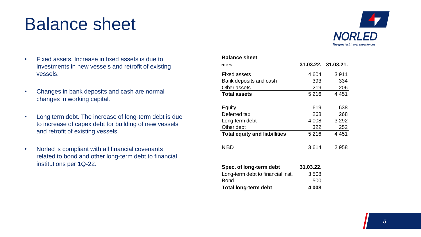#### Balance sheet



- Fixed assets. Increase in fixed assets is due to investments in new vessels and retrofit of existing vessels.
- Changes in bank deposits and cash are normal changes in working capital.
- Long term debt. The increase of long-term debt is due to increase of capex debt for building of new vessels and retrofit of existing vessels.
- Norled is compliant with all financial covenants related to bond and other long-term debt to financial institutions per 1Q-22.

| <b>Balance sheet</b>                 |           |                     |
|--------------------------------------|-----------|---------------------|
| <b>NOKm</b>                          |           | 31.03.22. 31.03.21. |
| <b>Fixed assets</b>                  | 4604      | 3911                |
| Bank deposits and cash               | 393       | 334                 |
| Other assets                         | 219       | 206                 |
| <b>Total assets</b>                  | 5 2 1 6   | 4 4 5 1             |
| Equity                               | 619       | 638                 |
| Deferred tax                         | 268       | 268                 |
| Long-term debt                       | 4 0 0 8   | 3 2 9 2             |
| Other debt                           | 322       | 252                 |
| <b>Total equity and liabillities</b> | 5 2 1 6   | 4 4 5 1             |
| <b>NIBD</b>                          | 3614      | 2958                |
| Spec. of long-term debt              | 31.03.22. |                     |
| Long-term debt to financial inst.    | 3508      |                     |
| Bond                                 | 500       |                     |

**Total long-term debt 4 008**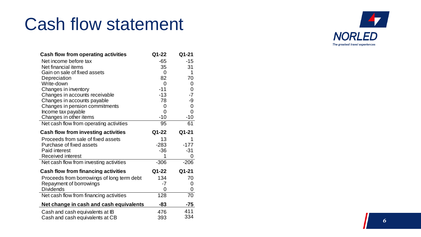### Cash flow statement

| Cash flow from operating activities         | Q1-22  | Q1-21      |
|---------------------------------------------|--------|------------|
| Net income before tax                       | $-65$  | $-15$      |
| Net financial items                         | 35     | 31         |
| Gain on sale of fixed assets                | 0      |            |
| Depreciation                                | 82     | 70         |
| Write-down                                  | 0      | 0          |
| Changes in inventory                        | $-11$  | 0          |
| Changes in accounts receivable              | $-13$  | $-7$       |
| Changes in accounts payable                 | 78     | -9         |
| Changes in pension commitments              | 0      | 0          |
| Income tax payable                          | 0      | 0          |
| Changes in other items                      | $-10$  | $-10$      |
| Net cash flow from operating activities     | 95     | 61         |
| <b>Cash flow from investing activities</b>  | Q1-22  | Q1-21      |
| Proceeds from sale of fixed assets          | 13     |            |
|                                             |        |            |
| Purchase of fixed assets                    | $-283$ | $-177$     |
| <b>Paid interest</b>                        | $-36$  | $-31$      |
| Received interest                           | 1      | 0          |
| Net cash flow from investing activities     | $-306$ | $-206$     |
| <b>Cash flow from financing activities</b>  | Q1-22  | Q1-21      |
|                                             | 134    | 70         |
| Proceeds from borrowings of long term debt  | -7     | 0          |
| Repayment of borrowings<br><b>Dividends</b> | 0      | 0          |
| Net cash flow from financing activities     | 128    | 70         |
| Net change in cash and cash equivalents     | $-83$  | -75        |
| Cash and cash equivalents at IB             | 476    | 411<br>334 |

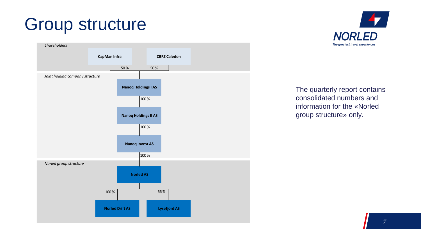# Group structure





The quarterly report contains consolidated numbers and information for the «Norled group structure» only.